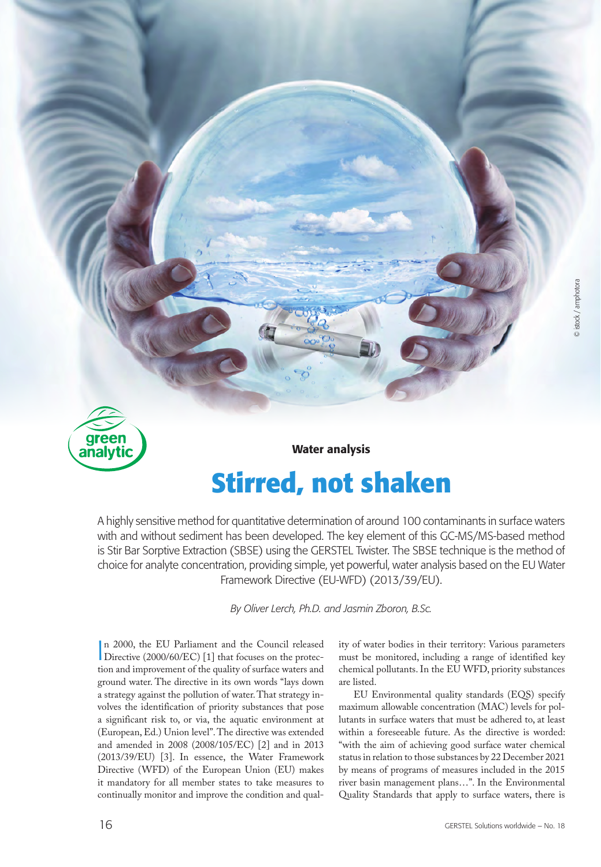

# **Stirred, not shaken**

A highly sensitive method for quantitative determination of around 100 contaminants in surface waters with and without sediment has been developed. The key element of this GC-MS/MS-based method is Stir Bar Sorptive Extraction (SBSE) using the GERSTEL Twister. The SBSE technique is the method of choice for analyte concentration, providing simple, yet powerful, water analysis based on the EU Water Framework Directive (EU-WFD) (2013/39/EU).

*By Oliver Lerch, Ph.D. and Jasmin Zboron, B.Sc.*

n 2000, the EU Parliament and the Council released<br>Directive (2000/60/EC) [1] that focuses on the protec-Directive (2000/60/EC) [1] that focuses on the protection and improvement of the quality of surface waters and ground water. The directive in its own words "lays down a strategy against the pollution of water. That strategy involves the identification of priority substances that pose a significant risk to, or via, the aquatic environment at (European, Ed.) Union level". The directive was extended and amended in 2008 (2008/105/EC) [2] and in 2013 (2013/39/EU) [3]. In essence, the Water Framework Directive (WFD) of the European Union (EU) makes it mandatory for all member states to take measures to continually monitor and improve the condition and quality of water bodies in their territory: Various parameters must be monitored, including a range of identified key chemical pollutants. In the EU WFD, priority substances are listed.

EU Environmental quality standards (EQS) specify maximum allowable concentration (MAC) levels for pollutants in surface waters that must be adhered to, at least within a foreseeable future. As the directive is worded: "with the aim of achieving good surface water chemical status in relation to those substances by 22 December 2021 by means of programs of measures included in the 2015 river basin management plans…". In the Environmental Quality Standards that apply to surface waters, there is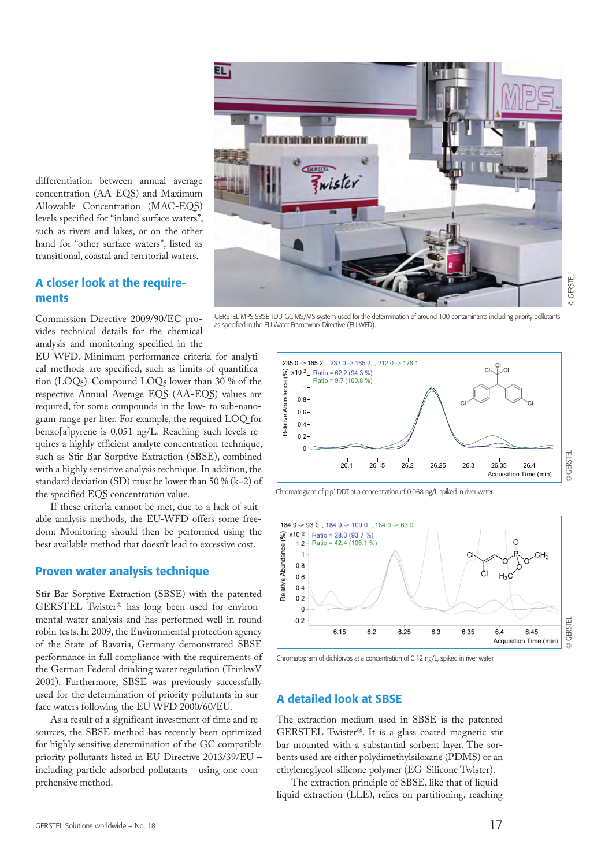

differentiation between annual average concentration (AA-EQS) and Maximum Allowable Concentration (MAC-EQS) levels specified for "inland surface waters", such as rivers and lakes, or on the other hand for "other surface waters", listed as transitional, coastal and territorial waters.

## A closer look at the requirements

Commission Directive 2009/90/EC provides technical details for the chemical analysis and monitoring specified in the

EU WFD. Minimum performance criteria for analytical methods are specified, such as limits of quantification (LOQs). Compound LOQs lower than 30 % of the respective Annual Average EQS (AA-EQS) values are required, for some compounds in the low- to sub-nanogram range per liter. For example, the required LOQ for benzo[a]pyrene is 0.051 ng/L. Reaching such levels requires a highly efficient analyte concentration technique, such as Stir Bar Sorptive Extraction (SBSE), combined with a highly sensitive analysis technique. In addition, the standard deviation (SD) must be lower than 50 % (k=2) of the specified EQS concentration value.

If these criteria cannot be met, due to a lack of suitable analysis methods, the EU-WFD offers some freedom: Monitoring should then be performed using the best available method that doesn't lead to excessive cost.

#### Proven water analysis technique

Stir Bar Sorptive Extraction (SBSE) with the patented GERSTEL Twister® has long been used for environmental water analysis and has performed well in round robin tests. In 2009, the Environmental protection agency of the State of Bavaria, Germany demonstrated SBSE performance in full compliance with the requirements of the German Federal drinking water regulation (TrinkwV 2001). Furthermore, SBSE was previously successfully used for the determination of priority pollutants in surface waters following the EU WFD 2000/60/EU.

As a result of a significant investment of time and resources, the SBSE method has recently been optimized for highly sensitive determination of the GC compatible priority pollutants listed in EU Directive 2013/39/EU – including particle adsorbed pollutants - using one comprehensive method.

GERSTEL MPS-SBSE-TDU-GC-MS/MS system used for the determination of around 100 contaminants including priority pollutants as specified in the EU Water Framework Directive (EU WFD).







Chromatogram of dichlorvos at a concentration of 0.12 ng/L, spiked in river water.

## A detailed look at SBSE

The extraction medium used in SBSE is the patented GERSTEL Twister®. It is a glass coated magnetic stir bar mounted with a substantial sorbent layer. The sorbents used are either polydimethylsiloxane (PDMS) or an ethyleneglycol-silicone polymer (EG-Silicone Twister).

The extraction principle of SBSE, like that of liquid– liquid extraction (LLE), relies on partitioning, reaching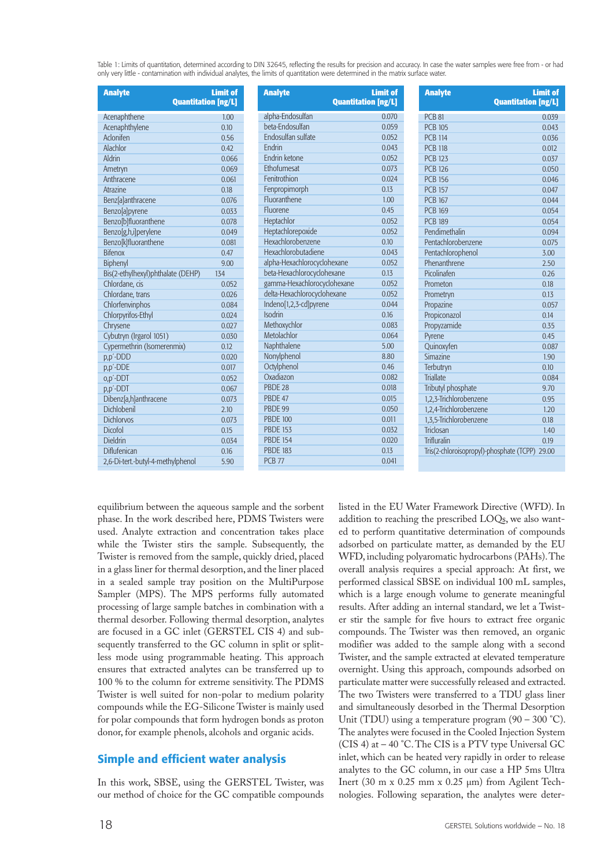Table 1: Limits of quantitation, determined according to DIN 32645, reflecting the results for precision and accuracy. In case the water samples were free from - or had only very little - contamination with individual analytes, the limits of quantitation were determined in the matrix surface water.

| <b>Analyte</b>                    | <b>Limit of</b><br><b>Quantitation [ng/L]</b> |
|-----------------------------------|-----------------------------------------------|
| Acenaphthene                      | 1.00                                          |
| Acenaphthylene                    | 0.10                                          |
| Aclonifen                         | 0.56                                          |
| Alachlor                          | 0.42                                          |
| Aldrin                            | 0.066                                         |
| Ametryn                           | 0.069                                         |
| Anthracene                        | 0.061                                         |
| Atrazine                          | 0.18                                          |
| Benz[a]anthracene                 | 0.076                                         |
| Benzo[a]pyrene                    | 0.033                                         |
| Benzo[b]fluoranthene              | 0.078                                         |
| Benzo[g,h,i]perylene              | 0.049                                         |
| Benzo[k]fluoranthene              | 0.081                                         |
| <b>Bifenox</b>                    | 0.47                                          |
| Biphenyl                          | 9.00                                          |
| Bis(2-ethylhexyl)phthalate (DEHP) | 134                                           |
| Chlordane, cis                    | 0.052                                         |
| Chlordane, trans                  | 0.026                                         |
| Chlorfenvinphos                   | 0.084                                         |
| Chlorpyrifos-Ethyl                | 0.024                                         |
| Chrysene                          | 0.027                                         |
| Cybutryn (Irgarol 1051)           | 0.030                                         |
| Cypermethrin (Isomerenmix)        | 0.12                                          |
| p,p'-DDD                          | 0.020                                         |
| p,p'-DDE                          | 0.017                                         |
| o,p'-DDT                          | 0.052                                         |
| p,p'-DDT                          | 0.067                                         |
| Dibenz[a,h]anthracene             | 0.073                                         |
| Dichlobenil                       | 2.10                                          |
| <b>Dichlorvos</b>                 | 0.073                                         |
| Dicofol                           | 0.15                                          |
| <b>Dieldrin</b>                   | 0.034                                         |
| Diflufenican                      | 0.16                                          |
| 2,6-Di-tert.-butyl-4-methylphenol | 5.90                                          |

| <b>Analyte</b>              | <b>Limit of</b><br><b>Quantitation [ng/L]</b> | <b>Analyte</b>         | <b>Limit of</b><br><b>Quantitation [ng/L]</b>     |
|-----------------------------|-----------------------------------------------|------------------------|---------------------------------------------------|
| alpha-Endosulfan            | 0.070                                         | <b>PCB 81</b>          | 0.039                                             |
| beta-Endosulfan             | 0.059                                         | <b>PCB 105</b>         | 0.043                                             |
| Endosulfan sulfate          | 0.052                                         | <b>PCB 114</b>         | 0.036                                             |
| Endrin                      | 0.043                                         | <b>PCB 118</b>         | 0.012                                             |
| Endrin ketone               | 0.052                                         | <b>PCB 123</b>         | 0.037                                             |
| Ethofumesat                 | 0.073                                         | <b>PCB 126</b>         | 0.050                                             |
| Fenitrothion                | 0.024                                         | <b>PCB 156</b>         | 0.046                                             |
| Fenpropimorph               | 0.13                                          | <b>PCB 157</b>         | 0.047                                             |
| Fluoranthene                | 1.00                                          | <b>PCB 167</b>         | 0.044                                             |
| Fluorene                    | 0.45                                          | <b>PCB 169</b>         | 0.054                                             |
| Heptachlor                  | 0.052                                         | <b>PCB 189</b>         | 0.054                                             |
| Heptachlorepoxide           | 0.052                                         | Pendimethalin          | 0.094                                             |
| <b>Hexachlorobenzene</b>    | 0.10                                          | Pentachlorobenzene     | 0.075                                             |
| Hexachlorobutadiene         | 0.043                                         | Pentachlorophenol      | 3.00                                              |
| alpha-Hexachlorocyclohexane | 0.052                                         | Phenanthrene           | 2.50                                              |
| beta-Hexachlorocyclohexane  | 0.13                                          | Picolinafen            | 0.26                                              |
| gamma-Hexachlorocyclohexane | 0.052                                         | Prometon               | 0.18                                              |
| delta-Hexachlorocyclohexane | 0.052                                         | Prometryn              | 0.13                                              |
| Indeno[1,2,3-cd]pyrene      | 0.044                                         | Propazine              | 0.057                                             |
| <b>Isodrin</b>              | 0.16                                          | Propiconazol           | 0.14                                              |
| Methoxychlor                | 0.083                                         | Propyzamide            | 0.35                                              |
| Metolachlor                 | 0.064                                         | Pyrene                 | 0.45                                              |
| Naphthalene                 | 5.00                                          | Quinoxyfen             | 0.087                                             |
| Nonylphenol                 | 8.80                                          | Simazine               | 1.90                                              |
| Octylphenol                 | 0.46                                          | Terbutryn              | 0.10                                              |
| Oxadiazon                   | 0.082                                         | <b>Triallate</b>       | 0.084                                             |
| PBDE 28                     | 0.018                                         | Tributyl phosphate     | 9.70                                              |
| PBDE 47                     | 0.015                                         | 1,2,3-Trichlorobenzene | 0.95                                              |
| PBDE 99                     | 0.050                                         | 1,2,4-Trichlorobenzene | 1.20                                              |
| <b>PBDE 100</b>             | 0.011                                         | 1,3,5-Trichlorobenzene | 0.18                                              |
| <b>PBDE 153</b>             | 0.032                                         | Triclosan              | 1.40                                              |
| <b>PBDE 154</b>             | 0.020                                         | Trifluralin            | 0.19                                              |
| <b>PBDE 183</b>             | 0.13                                          |                        | Tris(2-chloroisopropyl)-phosphate (TCPP)<br>29.00 |
| <b>PCB 77</b>               | 0.041                                         |                        |                                                   |

equilibrium between the aqueous sample and the sorbent phase. In the work described here, PDMS Twisters were used. Analyte extraction and concentration takes place while the Twister stirs the sample. Subsequently, the Twister is removed from the sample, quickly dried, placed in a glass liner for thermal desorption, and the liner placed in a sealed sample tray position on the MultiPurpose Sampler (MPS). The MPS performs fully automated processing of large sample batches in combination with a thermal desorber. Following thermal desorption, analytes are focused in a GC inlet (GERSTEL CIS 4) and subsequently transferred to the GC column in split or splitless mode using programmable heating. This approach ensures that extracted analytes can be transferred up to 100 % to the column for extreme sensitivity. The PDMS Twister is well suited for non-polar to medium polarity compounds while the EG-Silicone Twister is mainly used for polar compounds that form hydrogen bonds as proton donor, for example phenols, alcohols and organic acids.

# Simple and efficient water analysis

In this work, SBSE, using the GERSTEL Twister, was our method of choice for the GC compatible compounds listed in the EU Water Framework Directive (WFD). In addition to reaching the prescribed LOQs, we also wanted to perform quantitative determination of compounds adsorbed on particulate matter, as demanded by the EU WFD, including polyaromatic hydrocarbons (PAHs). The overall analysis requires a special approach: At first, we performed classical SBSE on individual 100 mL samples, which is a large enough volume to generate meaningful results. After adding an internal standard, we let a Twister stir the sample for five hours to extract free organic compounds. The Twister was then removed, an organic modifier was added to the sample along with a second Twister, and the sample extracted at elevated temperature overnight. Using this approach, compounds adsorbed on particulate matter were successfully released and extracted. The two Twisters were transferred to a TDU glass liner and simultaneously desorbed in the Thermal Desorption Unit (TDU) using a temperature program (90 – 300 °C). The analytes were focused in the Cooled Injection System (CIS 4) at – 40 °C. The CIS is a PTV type Universal GC inlet, which can be heated very rapidly in order to release analytes to the GC column, in our case a HP 5ms Ultra Inert (30 m x 0.25 mm x 0.25 μm) from Agilent Technologies. Following separation, the analytes were deter-